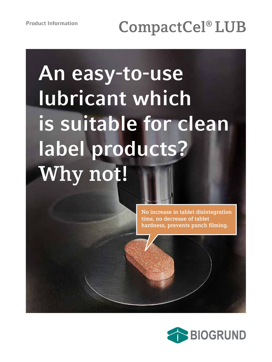# **An easy-to-use lubricant which is suitable for clean label products? Why not!**

**No increase in tablet disintegration time, no decrease of tablet hardness, prevents punch filming.**